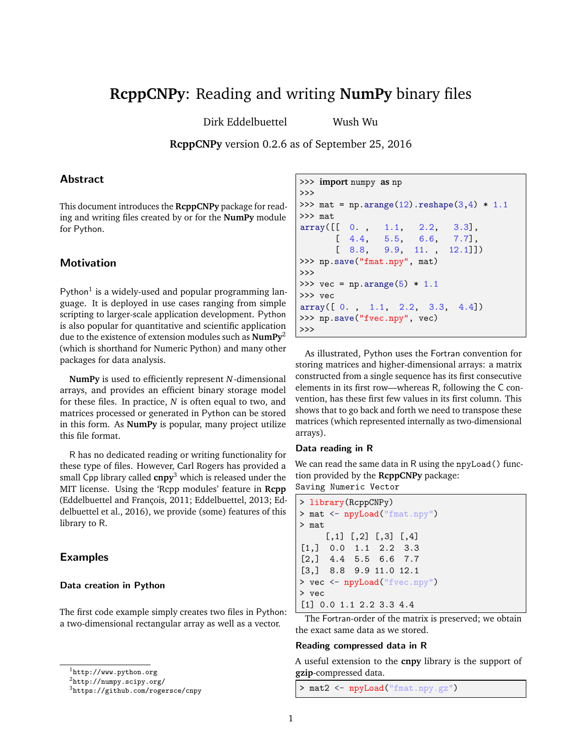# **RcppCNPy**: Reading and writing **NumPy** binary files

Dirk Eddelbuettel Wush Wu

**RcppCNPy** version 0.2.6 as of September 25, 2016

# **Abstract**

This document introduces the **RcppCNPy** package for reading and writing files created by or for the **NumPy** module for Python.

## **Motivation**

Python<sup>1</sup> is a widely-used and popular programming language. It is deployed in use cases ranging from simple scripting to larger-scale application development. Python is also popular for quantitative and scientific application due to the existence of extension modules such as **NumPy**<sup>2</sup> (which is shorthand for Numeric Python) and many other packages for data analysis.

**NumPy** is used to efficiently represent *N*-dimensional arrays, and provides an efficient binary storage model for these files. In practice, *N* is often equal to two, and matrices processed or generated in Python can be stored in this form. As **NumPy** is popular, many project utilize this file format.

R has no dedicated reading or writing functionality for these type of files. However, Carl Rogers has provided a small Cpp library called **cnpy**<sup>3</sup> which is released under the MIT license. Using the 'Rcpp modules' feature in **Rcpp** (Eddelbuettel and François, 2011; Eddelbuettel, 2013; Eddelbuettel et al., 2016), we provide (some) features of this library to R.

## Examples

#### Data creation in Python

The first code example simply creates two files in Python: a two-dimensional rectangular array as well as a vector.

```
2http://numpy.scipy.org/
```

```
3https://github.com/rogersce/cnpy
```

```
>>> import numpy as np
>>>
>>> mat = np.arange(12).reshape(3,4) * 1.1
>>> mat
array([[ 0. , 1.1, 2.2, 3.3],
      [ 4.4, 5.5, 6.6, 7.7],[ 8.8, 9.9, 11. , 12.1]])
>>> np.save("fmat.npy", mat)
>>>
>>> vec = np.arange(5) * 1.1>>> vec
array([ 0. , 1.1, 2.2, 3.3, 4.4])
>>> np.save("fvec.npy", vec)
>>>
```
As illustrated, Python uses the Fortran convention for storing matrices and higher-dimensional arrays: a matrix constructed from a single sequence has its first consecutive elements in its first row—whereas R, following the C convention, has these first few values in its first column. This shows that to go back and forth we need to transpose these matrices (which represented internally as two-dimensional arrays).

#### Data reading in R

We can read the same data in R using the npyLoad() function provided by the **RcppCNPy** package: Saving Numeric Vector

```
> library(RcppCNPy)
> mat <- npyLoad("fmat.npy")
> mat
     [0,1] [0,2] [0,3] [0,4][1,] 0.0 1.1 2.2 3.3
[2,] 4.4 5.5 6.6 7.7
[3,] 8.8 9.9 11.0 12.1
> vec <- npyLoad("fvec.npy")
> vec
[1] 0.0 1.1 2.2 3.3 4.4
```
The Fortran-order of the matrix is preserved; we obtain the exact same data as we stored.

#### Reading compressed data in R

A useful extension to the **cnpy** library is the support of **gzip**-compressed data.

> mat2 <- npyLoad("fmat.npy.gz")

 $\frac{1}{1}$ http://www.python.org